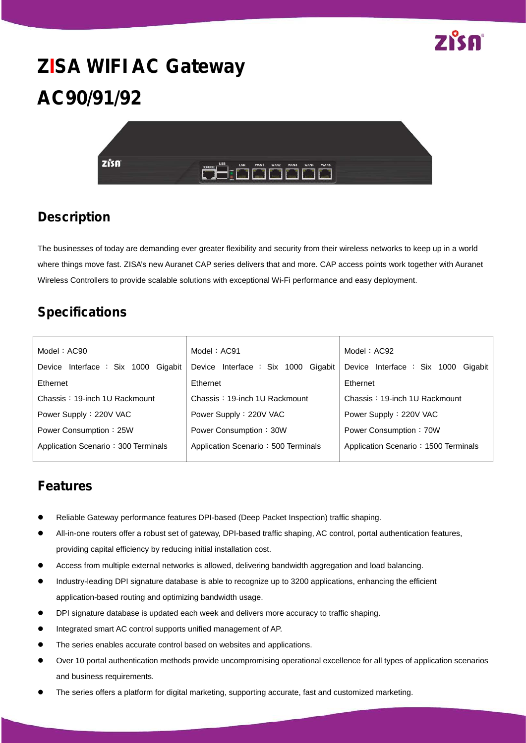

# **ZISA WIFI AC Gateway AC90/91/92**



## **Description**

The businesses of today are demanding ever greater flexibility and security from their wireless networks to keep up in a world where things move fast. ZISA's new Auranet CAP series delivers that and more. CAP access points work together with Auranet Wireless Controllers to provide scalable solutions with exceptional Wi-Fi performance and easy deployment.

## **Specifications**

| Model: $AC90$                       | Model: AC91                            | Model: $AC92$                          |
|-------------------------------------|----------------------------------------|----------------------------------------|
| Device Interface : Six 1000 Gigabit | Device Interface : Six 1000<br>Gigabit | Device Interface : Six 1000<br>Gigabit |
| Ethernet                            | Ethernet                               | Ethernet                               |
| Chassis: 19-inch 1U Rackmount       | Chassis: 19-inch 1U Rackmount          | Chassis: 19-inch 1U Rackmount          |
| Power Supply: 220V VAC              | Power Supply: 220V VAC                 | Power Supply: 220V VAC                 |
| Power Consumption: 25W              | Power Consumption: 30W                 | Power Consumption: 70W                 |
| Application Scenario: 300 Terminals | Application Scenario: 500 Terminals    | Application Scenario: 1500 Terminals   |
|                                     |                                        |                                        |

#### **Features**

- Reliable Gateway performance features DPI-based (Deep Packet Inspection) traffic shaping.
- All-in-one routers offer a robust set of gateway, DPI-based traffic shaping, AC control, portal authentication features, providing capital efficiency by reducing initial installation cost.
- Access from multiple external networks is allowed, delivering bandwidth aggregation and load balancing.
- Industry-leading DPI signature database is able to recognize up to 3200 applications, enhancing the efficient application-based routing and optimizing bandwidth usage.
- DPI signature database is updated each week and delivers more accuracy to traffic shaping.
- Integrated smart AC control supports unified management of AP.
- The series enables accurate control based on websites and applications.
- Over 10 portal authentication methods provide uncompromising operational excellence for all types of application scenarios and business requirements.
- The series offers a platform for digital marketing, supporting accurate, fast and customized marketing.